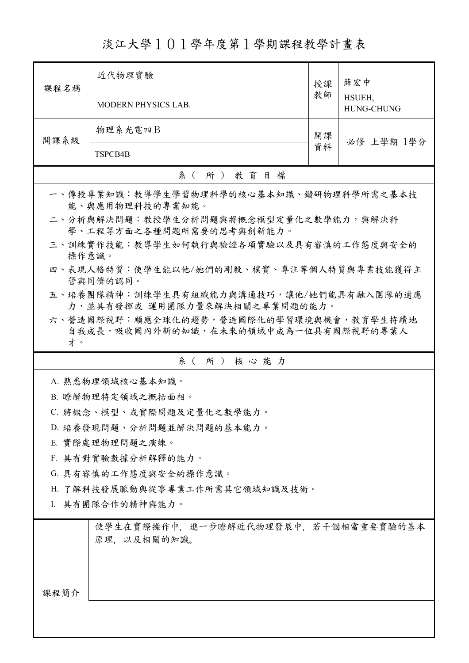淡江大學101學年度第1學期課程教學計畫表

| 課程名稱                                                 | 近代物理實驗                                                                    | 授課 | 薛宏中<br>HSUEH,<br><b>HUNG-CHUNG</b> |  |
|------------------------------------------------------|---------------------------------------------------------------------------|----|------------------------------------|--|
|                                                      | <b>MODERN PHYSICS LAB.</b>                                                | 教師 |                                    |  |
| 開課系級                                                 | 物理系光電四B                                                                   | 開課 | 必修 上學期 1學分                         |  |
|                                                      | TSPCB4B                                                                   | 資料 |                                    |  |
|                                                      | 系(所)教育目標                                                                  |    |                                    |  |
|                                                      | 一、傳授專業知識:教導學生學習物理科學的核心基本知識、鑽研物理科學所需之基本技<br>能、與應用物理科技的專業知能。                |    |                                    |  |
|                                                      | 二、分析與解決問題:教授學生分析問題與將概念模型定量化之數學能力,與解決科<br>學、工程等方面之各種問題所需要的思考與創新能力。         |    |                                    |  |
|                                                      | 三、訓練實作技能:教導學生如何執行與驗證各項實驗以及具有審慎的工作態度與安全的<br>操作意識。                          |    |                                    |  |
| 四、表現人格特質:使學生能以他/她們的剛毅、樸實、專注等個人特質與專業技能獲得主<br>管與同儕的認同。 |                                                                           |    |                                    |  |
|                                                      | 五、培養團隊精神:訓練學生具有組織能力與溝通技巧,讓他/她們能具有融入團隊的適應<br>力,並具有發揮或 運用團隊力量來解決相關之專業問題的能力。 |    |                                    |  |
|                                                      | 六、營造國際視野︰順應全球化的趨勢,營造國際化的學習環境與機會,教育學生持續地                                   |    |                                    |  |
| 才。                                                   | 自我成長,吸收國內外新的知識,在未來的領域中成為一位具有國際視野的專業人                                      |    |                                    |  |
|                                                      | 系(所)核心能力                                                                  |    |                                    |  |
|                                                      | A. 熟悉物理領域核心基本知識。                                                          |    |                                    |  |
|                                                      | B. 瞭解物理特定領域之概括面相。                                                         |    |                                    |  |
|                                                      | C. 將概念、模型、或實際問題及定量化之數學能力。                                                 |    |                                    |  |
|                                                      | D. 培養發現問題、分析問題並解決問題的基本能力。                                                 |    |                                    |  |
| E. 實際處理物理問題之演練。                                      |                                                                           |    |                                    |  |
|                                                      | F. 具有對實驗數據分析解釋的能力。                                                        |    |                                    |  |
|                                                      | G. 具有審慎的工作態度與安全的操作意識。                                                     |    |                                    |  |
|                                                      | H. 了解科技發展脈動與從事專業工作所需其它領域知識及技術。                                            |    |                                    |  |
| I. 具有團隊合作的精神與能力。                                     |                                                                           |    |                                    |  |
|                                                      | 使學生在實際操作中,進一步瞭解近代物理發展中,若干個相當重要實驗的基本<br>原理,以及相關的知識。                        |    |                                    |  |
| 課程簡介                                                 |                                                                           |    |                                    |  |
|                                                      |                                                                           |    |                                    |  |
|                                                      |                                                                           |    |                                    |  |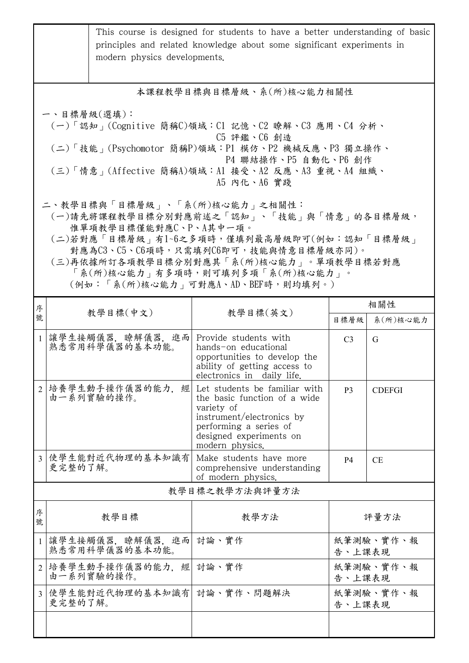|                                                                                                                                                                                                                                                                                                                    | modern physics developments.                                                                                                                                                                                                     | This course is designed for students to have a better understanding of basic<br>principles and related knowledge about some significant experiments in                           |                     |                 |  |  |  |
|--------------------------------------------------------------------------------------------------------------------------------------------------------------------------------------------------------------------------------------------------------------------------------------------------------------------|----------------------------------------------------------------------------------------------------------------------------------------------------------------------------------------------------------------------------------|----------------------------------------------------------------------------------------------------------------------------------------------------------------------------------|---------------------|-----------------|--|--|--|
|                                                                                                                                                                                                                                                                                                                    | 本課程教學目標與目標層級、系(所)核心能力相關性                                                                                                                                                                                                         |                                                                                                                                                                                  |                     |                 |  |  |  |
|                                                                                                                                                                                                                                                                                                                    | 一、目標層級(選填):<br>(一)「認知」(Cognitive 簡稱C)領域:C1 記憶、C2 瞭解、C3 應用、C4 分析、<br>C5 評鑑、C6 創造<br>(二)「技能」(Psychomotor 簡稱P)領域:P1 模仿、P2 機械反應、P3 獨立操作、<br>P4 聯結操作、P5 自動化、P6 創作<br>(三)「情意」(Affective 簡稱A)領域:Al 接受、A2 反應、A3 重視、A4 組織、<br>A5 内化、A6 實踐 |                                                                                                                                                                                  |                     |                 |  |  |  |
| 二、教學目標與「目標層級」、「系(所)核心能力」之相關性:<br>(一)請先將課程教學目標分別對應前述之「認知」、「技能」與「情意」的各目標層級,<br>惟單項教學目標僅能對應C、P、A其中一項。<br>(二)若對應「目標層級」有1~6之多項時,僅填列最高層級即可(例如:認知「目標層級」<br>對應為C3、C5、C6項時,只需填列C6即可,技能與情意目標層級亦同)。<br>(三)再依據所訂各項教學目標分別對應其「系(所)核心能力」。單項教學目標若對應<br>「系(所)核心能力   有多項時,則可填列多項「系(所)核心能力   。<br>(例如:「系(所)核心能力   可對應A、AD、BEF時,則均填列。) |                                                                                                                                                                                                                                  |                                                                                                                                                                                  |                     |                 |  |  |  |
| 序<br>號                                                                                                                                                                                                                                                                                                             | 教學目標(中文)                                                                                                                                                                                                                         | 教學目標(英文)                                                                                                                                                                         | 目標層級                | 相關性<br>系(所)核心能力 |  |  |  |
|                                                                                                                                                                                                                                                                                                                    | 1 讓學生接觸儀器,瞭解儀器,進而 <br>熟悉常用科學儀器的基本功能。                                                                                                                                                                                             | Provide students with<br>hands-on educational<br>opportunities to develop the<br>ability of getting access to<br>electronics in daily life.                                      | C <sub>3</sub>      | G               |  |  |  |
| $\overline{2}$                                                                                                                                                                                                                                                                                                     | 培養學生動手操作儀器的能力, 經<br>由一系列實驗的操作。                                                                                                                                                                                                   | Let students be familiar with<br>the basic function of a wide<br>variety of<br>instrument/electronics by<br>performing a series of<br>designed experiments on<br>modern physics. | P <sub>3</sub>      | <b>CDEFGI</b>   |  |  |  |
|                                                                                                                                                                                                                                                                                                                    | 3 使學生能對近代物理的基本知識有<br>更完整的了解。                                                                                                                                                                                                     | Make students have more<br>comprehensive understanding<br>of modern physics.                                                                                                     | <b>P4</b>           | <b>CE</b>       |  |  |  |
|                                                                                                                                                                                                                                                                                                                    | 教學目標之教學方法與評量方法                                                                                                                                                                                                                   |                                                                                                                                                                                  |                     |                 |  |  |  |
| 序<br>號                                                                                                                                                                                                                                                                                                             | 教學目標                                                                                                                                                                                                                             | 教學方法                                                                                                                                                                             | 評量方法                |                 |  |  |  |
| $\mathbf{1}$                                                                                                                                                                                                                                                                                                       | 讓學生接觸儀器,瞭解儀器,進而 討論、實作<br>熟悉常用科學儀器的基本功能。                                                                                                                                                                                          |                                                                                                                                                                                  | 紙筆測驗、實作、報<br>告、上課表現 |                 |  |  |  |
| $\overline{2}$                                                                                                                                                                                                                                                                                                     | 培養學生動手操作儀器的能力,經  討論、實作<br>由一系列實驗的操作。                                                                                                                                                                                             |                                                                                                                                                                                  | 紙筆測驗、實作、報<br>告、上課表現 |                 |  |  |  |
|                                                                                                                                                                                                                                                                                                                    | 3 使學生能對近代物理的基本知識有 討論、實作、問題解決<br>更完整的了解。                                                                                                                                                                                          |                                                                                                                                                                                  | 紙筆測驗、實作、報<br>告、上課表現 |                 |  |  |  |
|                                                                                                                                                                                                                                                                                                                    |                                                                                                                                                                                                                                  |                                                                                                                                                                                  |                     |                 |  |  |  |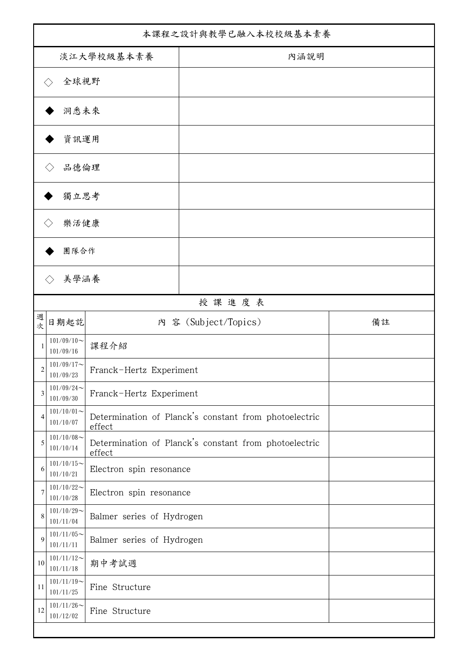| 本課程之設計與教學已融入本校校級基本素養 |                             |                           |                                                       |    |
|----------------------|-----------------------------|---------------------------|-------------------------------------------------------|----|
| 淡江大學校級基本素養           |                             |                           | 內涵說明                                                  |    |
|                      | 全球視野<br>$\langle \ \rangle$ |                           |                                                       |    |
|                      | 洞悉未來                        |                           |                                                       |    |
| 資訊運用                 |                             |                           |                                                       |    |
|                      | 品德倫理                        |                           |                                                       |    |
|                      | 獨立思考                        |                           |                                                       |    |
|                      | 樂活健康                        |                           |                                                       |    |
| 團隊合作                 |                             |                           |                                                       |    |
|                      | 美學涵養<br>$\Diamond$          |                           |                                                       |    |
|                      |                             |                           | 授課進度表                                                 |    |
| 週<br>次               | 日期起訖                        |                           | 內 容 (Subject/Topics)                                  | 備註 |
| 1                    | $101/09/10$ ~<br>101/09/16  | 課程介紹                      |                                                       |    |
| $\overline{c}$       | $101/09/17$ ~<br>101/09/23  | Franck-Hertz Experiment   |                                                       |    |
| 3                    | $101/09/24$ ~<br>101/09/30  | Franck-Hertz Experiment   |                                                       |    |
| $\overline{4}$       | $101/10/01$ ~<br>101/10/07  | effect                    | Determination of Planck's constant from photoelectric |    |
| 5                    | $101/10/08$ ~<br>101/10/14  | effect                    | Determination of Planck's constant from photoelectric |    |
| 6                    | $101/10/15$ ~<br>101/10/21  | Electron spin resonance   |                                                       |    |
| 7                    | $101/10/22$ ~<br>101/10/28  | Electron spin resonance   |                                                       |    |
| 8                    | $101/10/29$ ~<br>101/11/04  | Balmer series of Hydrogen |                                                       |    |
| 9                    | $101/11/05$ ~<br>101/11/11  | Balmer series of Hydrogen |                                                       |    |
| 10                   | $101/11/12$ ~<br>101/11/18  | 期中考試週                     |                                                       |    |
| 11                   | $101/11/19$ ~<br>101/11/25  | Fine Structure            |                                                       |    |
| 12                   | $101/11/26$ ~<br>101/12/02  | Fine Structure            |                                                       |    |
|                      |                             |                           |                                                       |    |